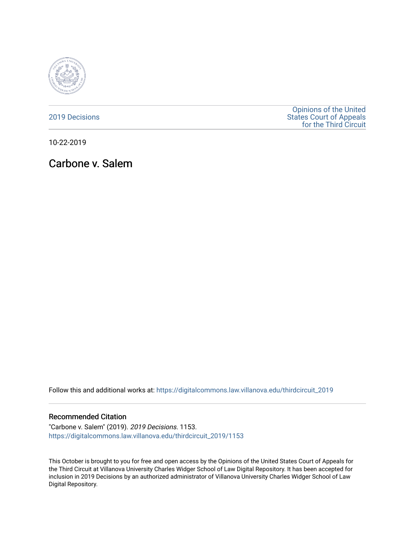

#### [2019 Decisions](https://digitalcommons.law.villanova.edu/thirdcircuit_2019)

[Opinions of the United](https://digitalcommons.law.villanova.edu/thirdcircuit)  [States Court of Appeals](https://digitalcommons.law.villanova.edu/thirdcircuit)  [for the Third Circuit](https://digitalcommons.law.villanova.edu/thirdcircuit) 

10-22-2019

# Carbone v. Salem

Follow this and additional works at: [https://digitalcommons.law.villanova.edu/thirdcircuit\\_2019](https://digitalcommons.law.villanova.edu/thirdcircuit_2019?utm_source=digitalcommons.law.villanova.edu%2Fthirdcircuit_2019%2F1153&utm_medium=PDF&utm_campaign=PDFCoverPages) 

#### Recommended Citation

"Carbone v. Salem" (2019). 2019 Decisions. 1153. [https://digitalcommons.law.villanova.edu/thirdcircuit\\_2019/1153](https://digitalcommons.law.villanova.edu/thirdcircuit_2019/1153?utm_source=digitalcommons.law.villanova.edu%2Fthirdcircuit_2019%2F1153&utm_medium=PDF&utm_campaign=PDFCoverPages) 

This October is brought to you for free and open access by the Opinions of the United States Court of Appeals for the Third Circuit at Villanova University Charles Widger School of Law Digital Repository. It has been accepted for inclusion in 2019 Decisions by an authorized administrator of Villanova University Charles Widger School of Law Digital Repository.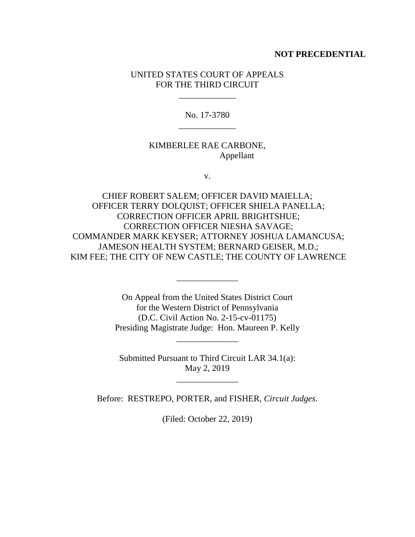#### **NOT PRECEDENTIAL**

### UNITED STATES COURT OF APPEALS FOR THE THIRD CIRCUIT

\_\_\_\_\_\_\_\_\_\_\_\_\_

No. 17-3780 \_\_\_\_\_\_\_\_\_\_\_\_\_

### KIMBERLEE RAE CARBONE, Appellant

v.

CHIEF ROBERT SALEM; OFFICER DAVID MAIELLA; OFFICER TERRY DOLQUIST; OFFICER SHIELA PANELLA; CORRECTION OFFICER APRIL BRIGHTSHUE; CORRECTION OFFICER NIESHA SAVAGE; COMMANDER MARK KEYSER; ATTORNEY JOSHUA LAMANCUSA; JAMESON HEALTH SYSTEM; BERNARD GEISER, M.D.; KIM FEE; THE CITY OF NEW CASTLE; THE COUNTY OF LAWRENCE

> On Appeal from the United States District Court for the Western District of Pennsylvania (D.C. Civil Action No. 2-15-cv-01175) Presiding Magistrate Judge: Hon. Maureen P. Kelly

> > \_\_\_\_\_\_\_\_\_\_\_\_\_\_

\_\_\_\_\_\_\_\_\_\_\_\_\_\_

Submitted Pursuant to Third Circuit LAR 34.1(a): May 2, 2019

\_\_\_\_\_\_\_\_\_\_\_\_\_\_

Before: RESTREPO, PORTER, and FISHER, *Circuit Judges*.

(Filed: October 22, 2019)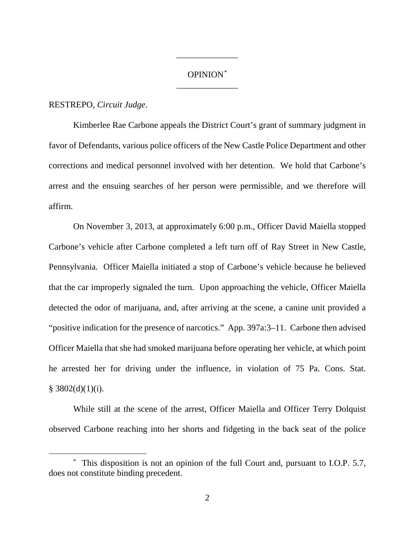## OPINION\* \_\_\_\_\_\_\_\_\_\_\_\_\_\_

\_\_\_\_\_\_\_\_\_\_\_\_\_\_

#### RESTREPO, *Circuit Judge*.

Kimberlee Rae Carbone appeals the District Court's grant of summary judgment in favor of Defendants, various police officers of the New Castle Police Department and other corrections and medical personnel involved with her detention. We hold that Carbone's arrest and the ensuing searches of her person were permissible, and we therefore will affirm.

On November 3, 2013, at approximately 6:00 p.m., Officer David Maiella stopped Carbone's vehicle after Carbone completed a left turn off of Ray Street in New Castle, Pennsylvania. Officer Maiella initiated a stop of Carbone's vehicle because he believed that the car improperly signaled the turn. Upon approaching the vehicle, Officer Maiella detected the odor of marijuana, and, after arriving at the scene, a canine unit provided a "positive indication for the presence of narcotics." App. 397a:3–11. Carbone then advised Officer Maiella that she had smoked marijuana before operating her vehicle, at which point he arrested her for driving under the influence, in violation of 75 Pa. Cons. Stat.  $§$  3802(d)(1)(i).

While still at the scene of the arrest, Officer Maiella and Officer Terry Dolquist observed Carbone reaching into her shorts and fidgeting in the back seat of the police

 <sup>\*</sup> This disposition is not an opinion of the full Court and, pursuant to I.O.P. 5.7, does not constitute binding precedent.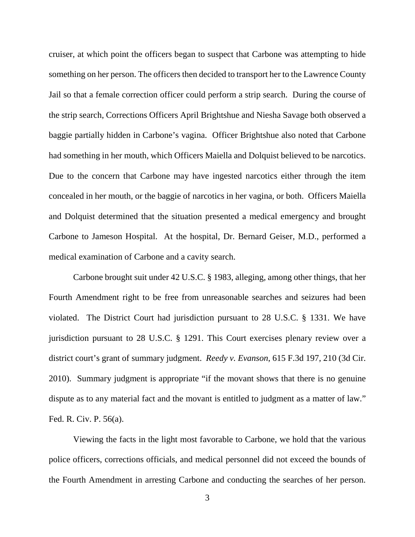cruiser, at which point the officers began to suspect that Carbone was attempting to hide something on her person. The officers then decided to transport her to the Lawrence County Jail so that a female correction officer could perform a strip search. During the course of the strip search, Corrections Officers April Brightshue and Niesha Savage both observed a baggie partially hidden in Carbone's vagina. Officer Brightshue also noted that Carbone had something in her mouth, which Officers Maiella and Dolquist believed to be narcotics. Due to the concern that Carbone may have ingested narcotics either through the item concealed in her mouth, or the baggie of narcotics in her vagina, or both. Officers Maiella and Dolquist determined that the situation presented a medical emergency and brought Carbone to Jameson Hospital. At the hospital, Dr. Bernard Geiser, M.D., performed a medical examination of Carbone and a cavity search.

Carbone brought suit under 42 U.S.C. § 1983, alleging, among other things, that her Fourth Amendment right to be free from unreasonable searches and seizures had been violated. The District Court had jurisdiction pursuant to 28 U.S.C. § 1331. We have jurisdiction pursuant to 28 U.S.C. § 1291. This Court exercises plenary review over a district court's grant of summary judgment. *Reedy v. Evanson*, 615 F.3d 197, 210 (3d Cir. 2010). Summary judgment is appropriate "if the movant shows that there is no genuine dispute as to any material fact and the movant is entitled to judgment as a matter of law." Fed. R. Civ. P. 56(a).

Viewing the facts in the light most favorable to Carbone, we hold that the various police officers, corrections officials, and medical personnel did not exceed the bounds of the Fourth Amendment in arresting Carbone and conducting the searches of her person.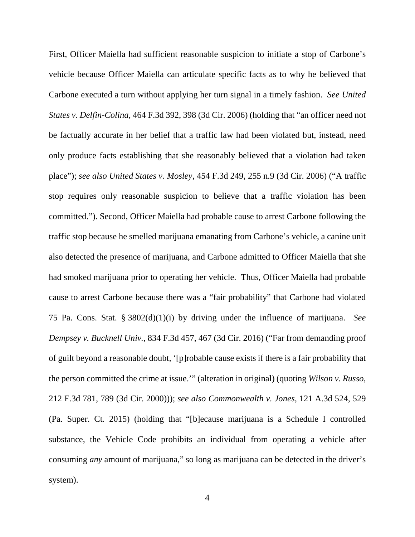First, Officer Maiella had sufficient reasonable suspicion to initiate a stop of Carbone's vehicle because Officer Maiella can articulate specific facts as to why he believed that Carbone executed a turn without applying her turn signal in a timely fashion. *See United States v. Delfin-Colina*, 464 F.3d 392, 398 (3d Cir. 2006) (holding that "an officer need not be factually accurate in her belief that a traffic law had been violated but, instead, need only produce facts establishing that she reasonably believed that a violation had taken place"); *see also United States v. Mosley*, 454 F.3d 249, 255 n.9 (3d Cir. 2006) ("A traffic stop requires only reasonable suspicion to believe that a traffic violation has been committed."). Second, Officer Maiella had probable cause to arrest Carbone following the traffic stop because he smelled marijuana emanating from Carbone's vehicle, a canine unit also detected the presence of marijuana, and Carbone admitted to Officer Maiella that she had smoked marijuana prior to operating her vehicle. Thus, Officer Maiella had probable cause to arrest Carbone because there was a "fair probability" that Carbone had violated 75 Pa. Cons. Stat. § 3802(d)(1)(i) by driving under the influence of marijuana. *See Dempsey v. Bucknell Univ.*, 834 F.3d 457, 467 (3d Cir. 2016) ("Far from demanding proof of guilt beyond a reasonable doubt, '[p]robable cause exists if there is a fair probability that the person committed the crime at issue.'" (alteration in original) (quoting *Wilson v. Russo*, 212 F.3d 781, 789 (3d Cir. 2000))); *see also Commonwealth v. Jones*, 121 A.3d 524, 529 (Pa. Super. Ct. 2015) (holding that "[b]ecause marijuana is a Schedule I controlled substance, the Vehicle Code prohibits an individual from operating a vehicle after consuming *any* amount of marijuana," so long as marijuana can be detected in the driver's system).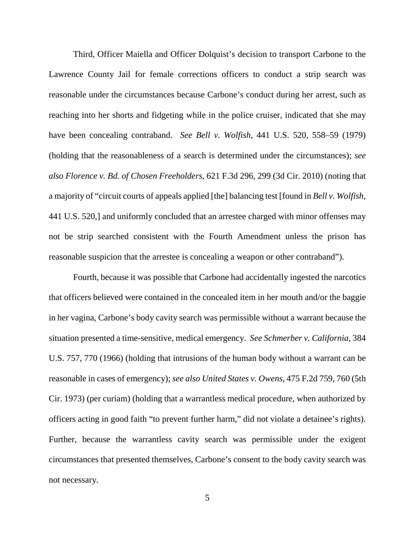Third, Officer Maiella and Officer Dolquist's decision to transport Carbone to the Lawrence County Jail for female corrections officers to conduct a strip search was reasonable under the circumstances because Carbone's conduct during her arrest, such as reaching into her shorts and fidgeting while in the police cruiser, indicated that she may have been concealing contraband. *See Bell v. Wolfish,* 441 U.S. 520, 558–59 (1979) (holding that the reasonableness of a search is determined under the circumstances); *see also Florence v. Bd. of Chosen Freeholders*, 621 F.3d 296, 299 (3d Cir. 2010) (noting that a majority of "circuit courts of appeals applied [the] balancing test [found in *Bell v. Wolfish*, 441 U.S. 520,] and uniformly concluded that an arrestee charged with minor offenses may not be strip searched consistent with the Fourth Amendment unless the prison has reasonable suspicion that the arrestee is concealing a weapon or other contraband").

Fourth, because it was possible that Carbone had accidentally ingested the narcotics that officers believed were contained in the concealed item in her mouth and/or the baggie in her vagina, Carbone's body cavity search was permissible without a warrant because the situation presented a time-sensitive, medical emergency. *See Schmerber v. California*, 384 U.S. 757, 770 (1966) (holding that intrusions of the human body without a warrant can be reasonable in cases of emergency); *see also United States v. Owens*, 475 F.2d 759, 760 (5th Cir. 1973) (per curiam) (holding that a warrantless medical procedure, when authorized by officers acting in good faith "to prevent further harm," did not violate a detainee's rights). Further, because the warrantless cavity search was permissible under the exigent circumstances that presented themselves, Carbone's consent to the body cavity search was not necessary.